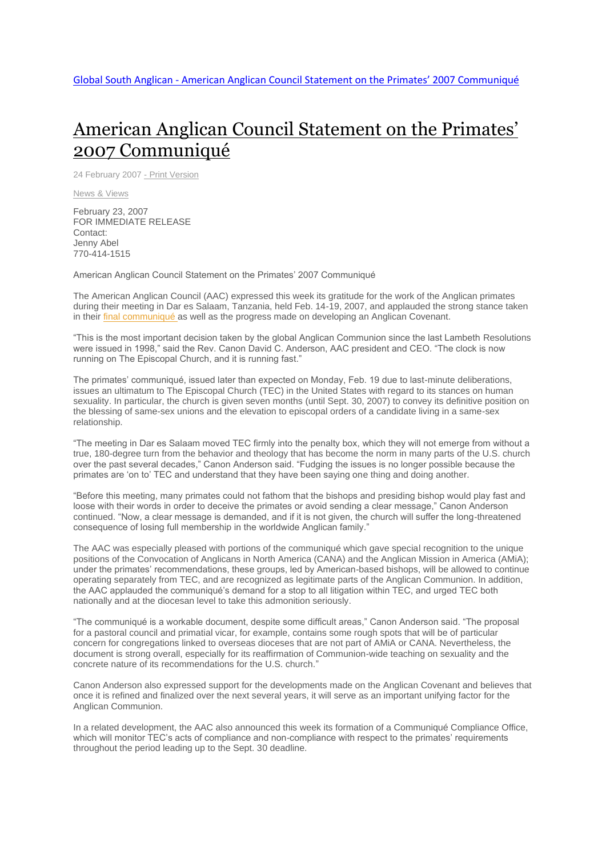## American Anglican Council [Statement](http://www.globalsouthanglican.org/index.php/blog/comments/american_anglican_council_statement_on_the_primates_2007_communique) on the Primates' 2007 [Communiqué](http://www.globalsouthanglican.org/index.php/blog/comments/american_anglican_council_statement_on_the_primates_2007_communique)

24 February 2007 - Print [Version](http://globalsouthanglican.org/index.php/blog/printing/american_anglican_council_statement_on_the_primates_2007_communique)

News & [Views](http://globalsouthanglican.org/index.php/archives/category/news_views)

February 23, 2007 FOR IMMEDIATE RELEASE Contact: Jenny Abel 770-414-1515

American Anglican Council Statement on the Primates' 2007 Communiqué

The American Anglican Council (AAC) expressed this week its gratitude for the work of the Anglican primates during their meeting in Dar es Salaam, Tanzania, held Feb. 14-19, 2007, and applauded the strong stance taken in their final [communiqué](http://www.globalsouthanglican.org/index.php/comments/primates_meeting_communique_tanzania/) as well as the progress made on developing an Anglican Covenant.

"This is the most important decision taken by the global Anglican Communion since the last Lambeth Resolutions were issued in 1998," said the Rev. Canon David C. Anderson, AAC president and CEO. "The clock is now running on The Episcopal Church, and it is running fast."

The primates' communiqué, issued later than expected on Monday, Feb. 19 due to last-minute deliberations, issues an ultimatum to The Episcopal Church (TEC) in the United States with regard to its stances on human sexuality. In particular, the church is given seven months (until Sept. 30, 2007) to convey its definitive position on the blessing of same-sex unions and the elevation to episcopal orders of a candidate living in a same-sex relationship.

"The meeting in Dar es Salaam moved TEC firmly into the penalty box, which they will not emerge from without a true, 180-degree turn from the behavior and theology that has become the norm in many parts of the U.S. church over the past several decades," Canon Anderson said. "Fudging the issues is no longer possible because the primates are 'on to' TEC and understand that they have been saying one thing and doing another.

"Before this meeting, many primates could not fathom that the bishops and presiding bishop would play fast and loose with their words in order to deceive the primates or avoid sending a clear message," Canon Anderson continued. "Now, a clear message is demanded, and if it is not given, the church will suffer the long-threatened consequence of losing full membership in the worldwide Anglican family."

The AAC was especially pleased with portions of the communiqué which gave special recognition to the unique positions of the Convocation of Anglicans in North America (CANA) and the Anglican Mission in America (AMiA); under the primates' recommendations, these groups, led by American-based bishops, will be allowed to continue operating separately from TEC, and are recognized as legitimate parts of the Anglican Communion. In addition, the AAC applauded the communiqué's demand for a stop to all litigation within TEC, and urged TEC both nationally and at the diocesan level to take this admonition seriously.

"The communiqué is a workable document, despite some difficult areas," Canon Anderson said. "The proposal for a pastoral council and primatial vicar, for example, contains some rough spots that will be of particular concern for congregations linked to overseas dioceses that are not part of AMiA or CANA. Nevertheless, the document is strong overall, especially for its reaffirmation of Communion-wide teaching on sexuality and the concrete nature of its recommendations for the U.S. church."

Canon Anderson also expressed support for the developments made on the Anglican Covenant and believes that once it is refined and finalized over the next several years, it will serve as an important unifying factor for the Anglican Communion.

In a related development, the AAC also announced this week its formation of a Communiqué Compliance Office, which will monitor TEC's acts of compliance and non-compliance with respect to the primates' requirements throughout the period leading up to the Sept. 30 deadline.